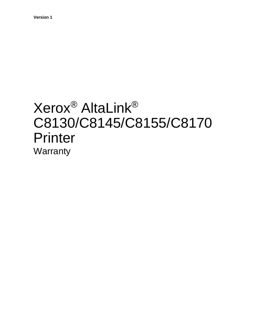## Xerox® AltaLink® C8130/C8145/C8155/C8170 Printer **Warranty**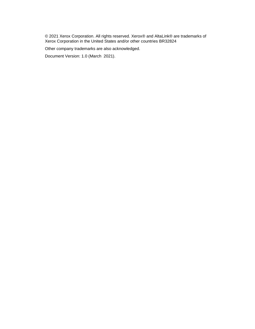© 2021 Xerox Corporation. All rights reserved. Xerox® and AltaLink® are trademarks of Xerox Corporation in the United States and/or other countries BR32824

Other company trademarks are also acknowledged.

Document Version: 1.0 (March 2021).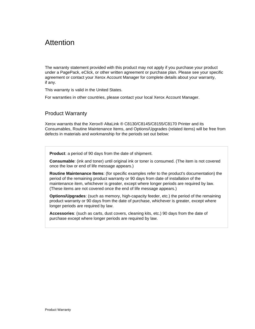## Attention

The warranty statement provided with this product may not apply if you purchase your product under a PagePack, eClick, or other written agreement or purchase plan. Please see your specific agreement or contact your Xerox Account Manager for complete details about your warranty, if any.

This warranty is valid in the United States.

For warranties in other countries, please contact your local Xerox Account Manager.

## Product Warranty

Xerox warrants that the Xerox® AltaLink ® C8130/C8145/C8155/C8170 Printer and its Consumables, Routine Maintenance Items, and Options/Upgrades (related items) will be free from defects in materials and workmanship for the periods set out below:

**Product**: a period of 90 days from the date of shipment.

**Consumable**: (ink and toner) until original ink or toner is consumed. (The item is not covered once the low or end of life message appears.)

**Routine Maintenance Items**: (for specific examples refer to the product's documentation) the period of the remaining product warranty or 90 days from date of installation of the maintenance item, whichever is greater, except where longer periods are required by law. (These items are not covered once the end of life message appears.)

**Options/Upgrades**: (such as memory, high-capacity feeder, etc.) the period of the remaining product warranty or 90 days from the date of purchase, whichever is greater, except where longer periods are required by law.

**Accessories**: (such as carts, dust covers, cleaning kits, etc.) 90 days from the date of purchase except where longer periods are required by law.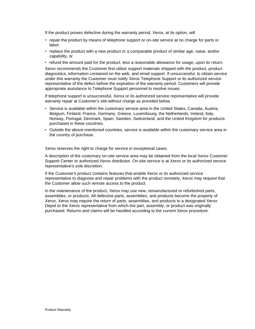If the product proves defective during the warranty period, Xerox, at its option, will

- repair the product by means of telephone support or on-site service at no charge for parts or labor;
- replace the product with a new product or a comparable product of similar age, value, and/or capability, or
- refund the amount paid for the product, less a reasonable allowance for usage, upon its return.

Xerox recommends the Customer first utilize support materials shipped with the product, product diagnostics, information contained on the web, and email support. If unsuccessful, to obtain service under this warranty the Customer must notify Xerox Telephone Support or its authorized service representative of the defect before the expiration of the warranty period. Customers will provide appropriate assistance to Telephone Support personnel to resolve issues.

If telephone support is unsuccessful, Xerox or its authorized service representative will provide warranty repair at Customer's site without charge as provided below.

- Service is available within the customary service area in the United States, Canada, Austria, Belgium, Finland, France, Germany, Greece, Luxembourg, the Netherlands, Ireland, Italy, Norway, Portugal, Denmark, Spain, Sweden, Switzerland, and the United Kingdom for products purchased in these countries.
- Outside the above-mentioned countries, service is available within the customary service area in the country of purchase.

Xerox reserves the right to charge for service in exceptional cases.

A description of the customary on-site service area may be obtained from the local Xerox Customer Support Center or authorized Xerox distributor. On-site service is at Xerox or its authorized service representative's sole discretion.

If the Customer's product contains features that enable Xerox or its authorized service representative to diagnose and repair problems with the product remotely, Xerox may request that the Customer allow such remote access to the product.

In the maintenance of the product, Xerox may use new, remanufactured or refurbished parts, assemblies, or products. All defective parts, assemblies, and products become the property of Xerox. Xerox may require the return of parts, assemblies, and products to a designated Xerox Depot or the Xerox representative from which the part, assembly, or product was originally purchased. Returns and claims will be handled according to the current Xerox procedure.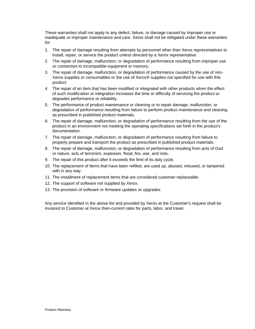These warranties shall not apply to any defect, failure, or damage caused by improper use or inadequate or improper maintenance and care. Xerox shall not be obligated under these warranties for:

- 1. The repair of damage resulting from attempts by personnel other than Xerox representatives to install, repair, or service the product unless directed by a Xerox representative.
- 2. The repair of damage, malfunction, or degradation of performance resulting from improper use or connection to incompatible equipment or memory.
- 3. The repair of damage, malfunction, or degradation of performance caused by the use of non-Xerox supplies or consumables or the use of Xerox® supplies not specified for use with this product.
- 4. The repair of an item that has been modified or integrated with other products when the effect of such modification or integration increases the time or difficulty of servicing the product or degrades performance or reliability.
- 5. The performance of product maintenance or cleaning or to repair damage, malfunction, or degradation of performance resulting from failure to perform product maintenance and cleaning as prescribed in published product materials.
- 6. The repair of damage, malfunction, or degradation of performance resulting from the use of the product in an environment not meeting the operating specifications set forth in the product's documentation.
- 7. The repair of damage, malfunction, or degradation of performance resulting from failure to properly prepare and transport the product as prescribed in published product materials.
- 8. The repair of damage, malfunction, or degradation of performance resulting from acts of God or nature, acts of terrorism, explosion, flood, fire, war, and riots.
- 9. The repair of this product after it exceeds the limit of its duty cycle.
- 10. The replacement of items that have been refilled, are used up, abused, misused, or tampered with in any way.
- 11. The installment of replacement items that are considered customer replaceable.
- 12. The support of software not supplied by Xerox.
- 13. The provision of software or firmware updates or upgrades.

Any service identified in the above list and provided by Xerox at the Customer's request shall be invoiced to Customer at Xerox then-current rates for parts, labor, and travel.